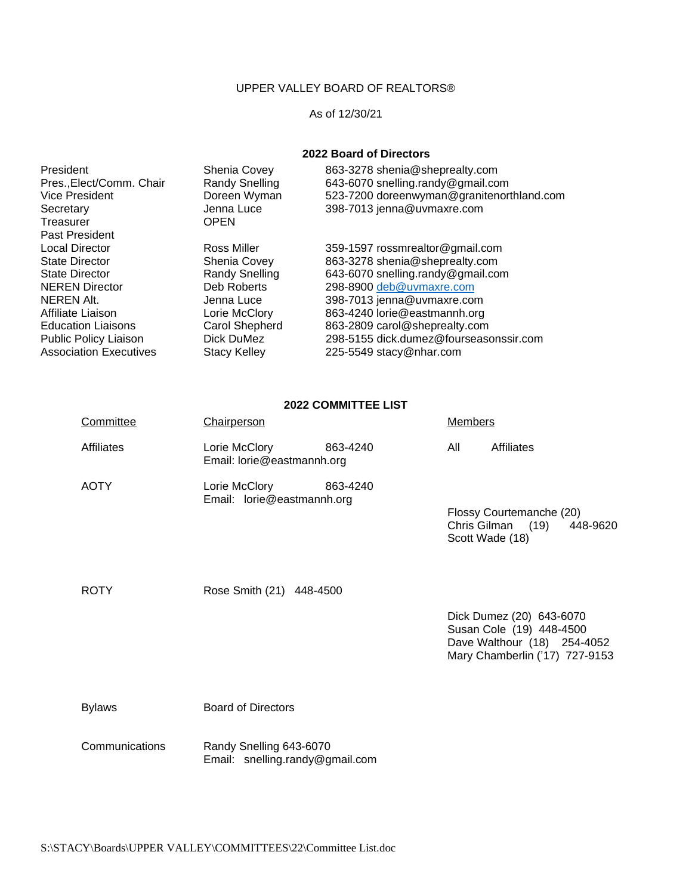## UPPER VALLEY BOARD OF REALTORS®

## As of 12/30/21

## **2022 Board of Directors**

| President                     | Shenia Covey          | 863-3278 shenia@sheprealty.com            |
|-------------------------------|-----------------------|-------------------------------------------|
| Pres., Elect/Comm. Chair      | Randy Snelling        | 643-6070 snelling.randy@gmail.com         |
| <b>Vice President</b>         | Doreen Wyman          | 523-7200 doreenwyman@granitenorthland.com |
| Secretary                     | Jenna Luce            | 398-7013 jenna@uvmaxre.com                |
| Treasurer                     | <b>OPEN</b>           |                                           |
| Past President                |                       |                                           |
| <b>Local Director</b>         | Ross Miller           | 359-1597 rossmrealtor@gmail.com           |
| <b>State Director</b>         | <b>Shenia Covey</b>   | 863-3278 shenia@sheprealty.com            |
| <b>State Director</b>         | <b>Randy Snelling</b> | 643-6070 snelling.randy@gmail.com         |
| <b>NEREN Director</b>         | Deb Roberts           | 298-8900 deb@uvmaxre.com                  |
| NEREN Alt.                    | Jenna Luce            | 398-7013 jenna@uvmaxre.com                |
| Affiliate Liaison             | Lorie McClory         | 863-4240 lorie@eastmannh.org              |
| <b>Education Liaisons</b>     | Carol Shepherd        | 863-2809 carol@sheprealty.com             |
| Public Policy Liaison         | Dick DuMez            | 298-5155 dick.dumez@fourseasonssir.com    |
| <b>Association Executives</b> | <b>Stacy Kelley</b>   | 225-5549 stacy@nhar.com                   |
|                               |                       |                                           |

## **2022 COMMITTEE LIST**

| Committee         | <b>Chairperson</b>                                         | <b>Members</b>                                                                                                        |
|-------------------|------------------------------------------------------------|-----------------------------------------------------------------------------------------------------------------------|
| <b>Affiliates</b> | Lorie McClory<br>863-4240<br>Email: lorie@eastmannh.org    | All<br><b>Affiliates</b>                                                                                              |
| <b>AOTY</b>       | Lorie McClory<br>863-4240<br>Email: lorie@eastmannh.org    | Flossy Courtemanche (20)<br>Chris Gilman (19)<br>448-9620<br>Scott Wade (18)                                          |
| <b>ROTY</b>       | Rose Smith (21) 448-4500                                   |                                                                                                                       |
|                   |                                                            | Dick Dumez (20) 643-6070<br>Susan Cole (19) 448-4500<br>Dave Walthour (18) 254-4052<br>Mary Chamberlin ('17) 727-9153 |
| <b>Bylaws</b>     | <b>Board of Directors</b>                                  |                                                                                                                       |
| Communications    | Randy Snelling 643-6070<br>Email: snelling.randy@gmail.com |                                                                                                                       |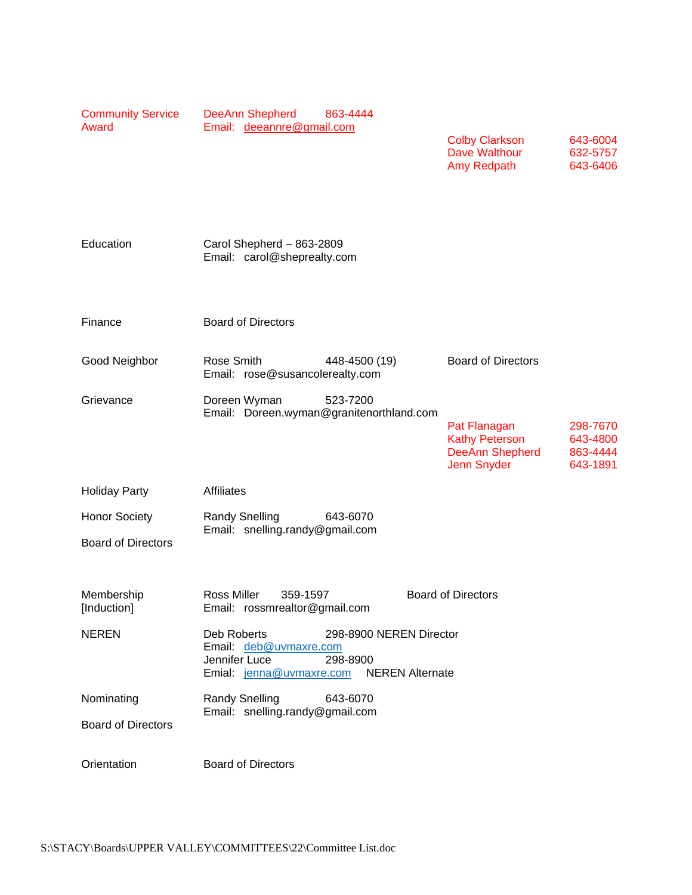| <b>Community Service</b><br>Award                 | <b>DeeAnn Shepherd</b><br>863-4444<br>Email: deeannre@gmail.com                                                                                     | <b>Colby Clarkson</b><br>643-6004<br>Dave Walthour<br>632-5757<br>Amy Redpath<br>643-6406                                             |
|---------------------------------------------------|-----------------------------------------------------------------------------------------------------------------------------------------------------|---------------------------------------------------------------------------------------------------------------------------------------|
| Education                                         | Carol Shepherd - 863-2809<br>Email: carol@sheprealty.com                                                                                            |                                                                                                                                       |
| Finance                                           | <b>Board of Directors</b>                                                                                                                           |                                                                                                                                       |
| Good Neighbor                                     | Rose Smith<br>448-4500 (19)<br>Email: rose@susancolerealty.com                                                                                      | <b>Board of Directors</b>                                                                                                             |
| Grievance                                         | Doreen Wyman<br>523-7200<br>Email: Doreen.wyman@granitenorthland.com                                                                                | Pat Flanagan<br>298-7670<br><b>Kathy Peterson</b><br>643-4800<br><b>DeeAnn Shepherd</b><br>863-4444<br><b>Jenn Snyder</b><br>643-1891 |
| <b>Holiday Party</b>                              | <b>Affiliates</b>                                                                                                                                   |                                                                                                                                       |
| <b>Honor Society</b><br><b>Board of Directors</b> | 643-6070<br><b>Randy Snelling</b><br>Email: snelling.randy@gmail.com                                                                                |                                                                                                                                       |
| Membership<br>[Induction]                         | Ross Miller<br>359-1597<br>Email: rossmrealtor@gmail.com                                                                                            | <b>Board of Directors</b>                                                                                                             |
| <b>NEREN</b>                                      | Deb Roberts<br>298-8900 NEREN Director<br>Email: deb@uvmaxre.com<br>Jennifer Luce<br>298-8900<br><b>NEREN Alternate</b><br>Emial: jenna@uvmaxre.com |                                                                                                                                       |
| Nominating<br><b>Board of Directors</b>           | <b>Randy Snelling</b><br>643-6070<br>Email: snelling.randy@gmail.com                                                                                |                                                                                                                                       |
| Orientation                                       | <b>Board of Directors</b>                                                                                                                           |                                                                                                                                       |